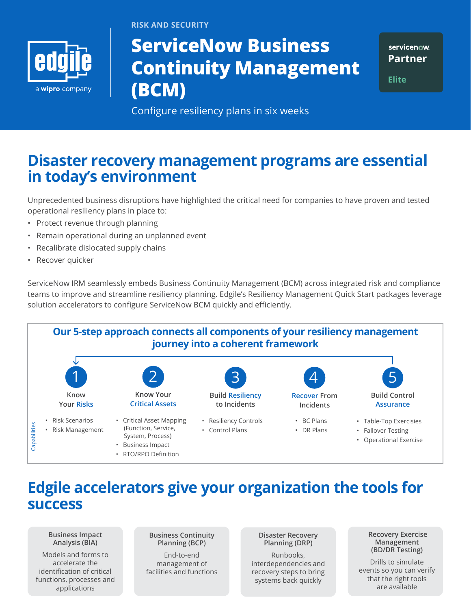

**RISK AND SECURITY**

# **ServiceNow Business Continuity Management (BCM)**

servicenow. **Partner**

**Elite**

Configure resiliency plans in six weeks

## **Disaster recovery management programs are essential in today's environment**

Unprecedented business disruptions have highlighted the critical need for companies to have proven and tested operational resiliency plans in place to:

- Protect revenue through planning
- Remain operational during an unplanned event
- Recalibrate dislocated supply chains
- Recover quicker

ServiceNow IRM seamlessly embeds Business Continuity Management (BCM) across integrated risk and compliance teams to improve and streamline resiliency planning. Edgile's Resiliency Management Quick Start packages leverage solution accelerators to configure ServiceNow BCM quickly and efficiently.



## **Edgile accelerators give your organization the tools for success**

**Business Impact Analysis (BIA)**

Models and forms to accelerate the identification of critical functions, processes and applications

**Business Continuity Planning (BCP)**

End-to-end management of facilities and functions **Disaster Recovery Planning (DRP)**

Runbooks, interdependencies and recovery steps to bring systems back quickly

**Recovery Exercise Management (BD/DR Testing)**

Drills to simulate events so you can verify that the right tools are available